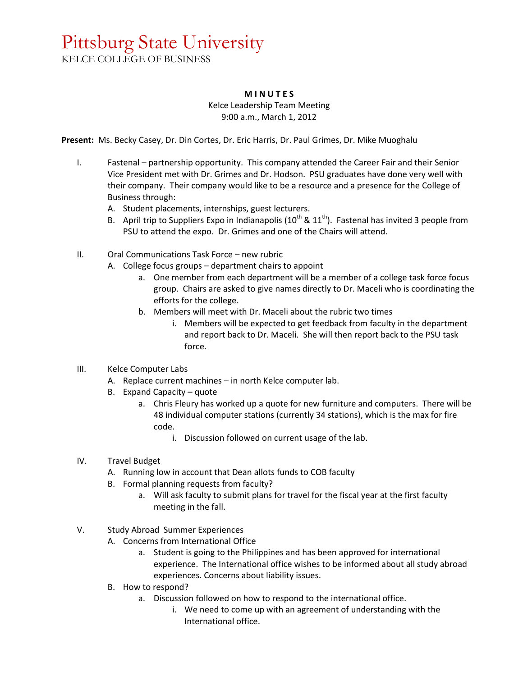## Pittsburg State University

KELCE COLLEGE OF BUSINESS

## **M I N U T E S**

Kelce Leadership Team Meeting 9:00 a.m., March 1, 2012

**Present:** Ms. Becky Casey, Dr. Din Cortes, Dr. Eric Harris, Dr. Paul Grimes, Dr. Mike Muoghalu

- I. Fastenal partnership opportunity. This company attended the Career Fair and their Senior Vice President met with Dr. Grimes and Dr. Hodson. PSU graduates have done very well with their company. Their company would like to be a resource and a presence for the College of Business through:
	- A. Student placements, internships, guest lecturers.
	- B. April trip to Suppliers Expo in Indianapolis  $(10^{th}$  &  $11^{th})$ . Fastenal has invited 3 people from PSU to attend the expo. Dr. Grimes and one of the Chairs will attend.
- II. Oral Communications Task Force new rubric
	- A. College focus groups department chairs to appoint
		- a. One member from each department will be a member of a college task force focus group. Chairs are asked to give names directly to Dr. Maceli who is coordinating the efforts for the college.
		- b. Members will meet with Dr. Maceli about the rubric two times
			- i. Members will be expected to get feedback from faculty in the department and report back to Dr. Maceli. She will then report back to the PSU task force.
- III. Kelce Computer Labs
	- A. Replace current machines in north Kelce computer lab.
	- B. Expand Capacity quote
		- a. Chris Fleury has worked up a quote for new furniture and computers. There will be 48 individual computer stations (currently 34 stations), which is the max for fire code.
			- i. Discussion followed on current usage of the lab.
- IV. Travel Budget
	- A. Running low in account that Dean allots funds to COB faculty
	- B. Formal planning requests from faculty?
		- a. Will ask faculty to submit plans for travel for the fiscal year at the first faculty meeting in the fall.
- V. Study Abroad Summer Experiences
	- A. Concerns from International Office
		- a. Student is going to the Philippines and has been approved for international experience. The International office wishes to be informed about all study abroad experiences. Concerns about liability issues.
	- B. How to respond?
		- a. Discussion followed on how to respond to the international office.
			- i. We need to come up with an agreement of understanding with the International office.